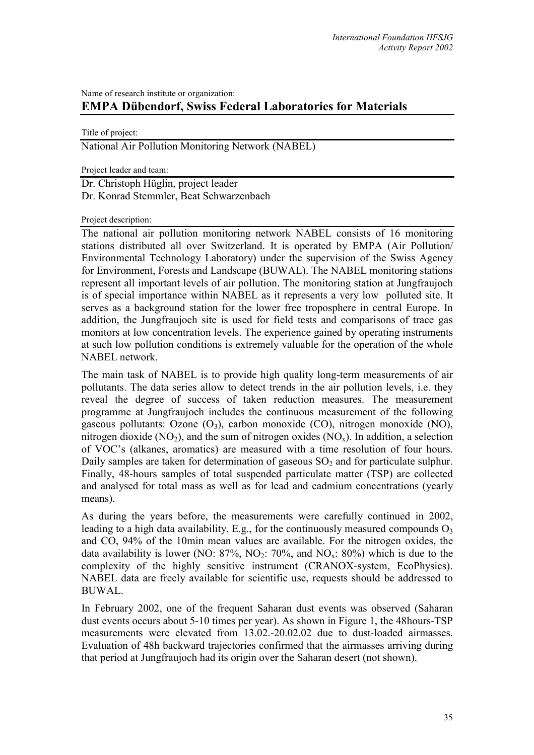## Name of research institute or organization: **EMPA Dübendorf, Swiss Federal Laboratories for Materials**

Title of project:

National Air Pollution Monitoring Network (NABEL)

Project leader and team:

Dr. Christoph Hüglin, project leader Dr. Konrad Stemmler, Beat Schwarzenbach

Project description:

The national air pollution monitoring network NABEL consists of 16 monitoring stations distributed all over Switzerland. It is operated by EMPA (Air Pollution/ Environmental Technology Laboratory) under the supervision of the Swiss Agency for Environment, Forests and Landscape (BUWAL). The NABEL monitoring stations represent all important levels of air pollution. The monitoring station at Jungfraujoch is of special importance within NABEL as it represents a very low polluted site. It serves as a background station for the lower free troposphere in central Europe. In addition, the Jungfraujoch site is used for field tests and comparisons of trace gas monitors at low concentration levels. The experience gained by operating instruments at such low pollution conditions is extremely valuable for the operation of the whole NABEL network.

The main task of NABEL is to provide high quality long-term measurements of air pollutants. The data series allow to detect trends in the air pollution levels, i.e. they reveal the degree of success of taken reduction measures. The measurement programme at Jungfraujoch includes the continuous measurement of the following gaseous pollutants: Ozone  $(O_3)$ , carbon monoxide  $(CO)$ , nitrogen monoxide  $(NO)$ , nitrogen dioxide (NO<sub>2</sub>), and the sum of nitrogen oxides (NO<sub>x</sub>). In addition, a selection of VOC's (alkanes, aromatics) are measured with a time resolution of four hours. Daily samples are taken for determination of gaseous  $SO<sub>2</sub>$  and for particulate sulphur. Finally, 48-hours samples of total suspended particulate matter (TSP) are collected and analysed for total mass as well as for lead and cadmium concentrations (yearly means).

As during the years before, the measurements were carefully continued in 2002, leading to a high data availability. E.g., for the continuously measured compounds  $O_3$ and CO, 94% of the 10min mean values are available. For the nitrogen oxides, the data availability is lower (NO:  $87\%$ , NO<sub>2</sub>:  $70\%$ , and NO<sub>x</sub>:  $80\%$ ) which is due to the complexity of the highly sensitive instrument (CRANOX-system, EcoPhysics). NABEL data are freely available for scientific use, requests should be addressed to BUWAL.

In February 2002, one of the frequent Saharan dust events was observed (Saharan dust events occurs about 5-10 times per year). As shown in Figure 1, the 48hours-TSP measurements were elevated from 13.02.-20.02.02 due to dust-loaded airmasses. Evaluation of 48h backward trajectories confirmed that the airmasses arriving during that period at Jungfraujoch had its origin over the Saharan desert (not shown).